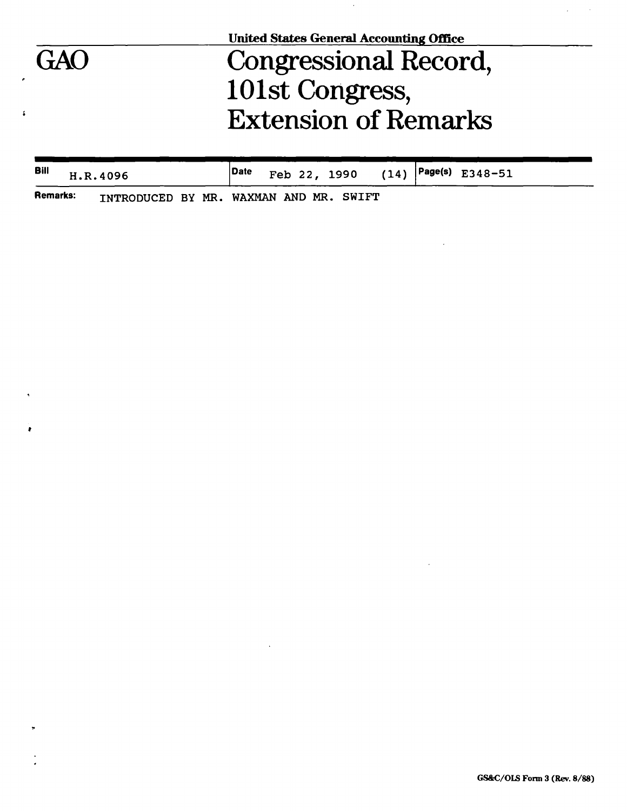|     | <b>United States General Accounting Office</b> |  |  |  |  |  |  |  |
|-----|------------------------------------------------|--|--|--|--|--|--|--|
| GAO | <b>Congressional Record,</b>                   |  |  |  |  |  |  |  |
|     | 101st Congress,                                |  |  |  |  |  |  |  |
|     | <b>Extension of Remarks</b>                    |  |  |  |  |  |  |  |
|     |                                                |  |  |  |  |  |  |  |

| Bill | H.R.4096                                        |  |  |  |  | Date Feb 22, 1990 $(14)$ Page(s) E348-51 |  |
|------|-------------------------------------------------|--|--|--|--|------------------------------------------|--|
|      | Remarks: INTRODUCED BY MR. WAXMAN AND MR. SWIFT |  |  |  |  |                                          |  |

**»** 

 $\mathbf{r}$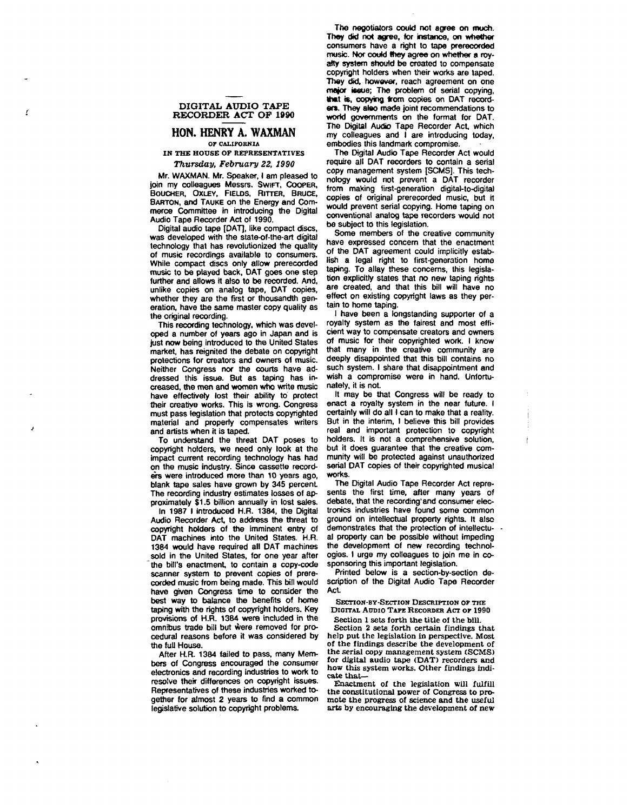# **DIGITAL AUDIO TAPE RECORDER ACT OP 1990**

Y

#### **HON. HENRY A. WAXMAN OF CALIFORNIA**

### **IN THE HOUSE OF REPRESENTATIVES**  *Thursday, February 22, 1990*

Mr. WAXMAN. Mr. Speaker, I am pleased to join my colleagues Messrs. SWIFT, COOPER, **BOUCHEH, OXLEY, FIELDS, RlTTER, BRUCE,**  BARTON, and TAUKE on the Energy and Commerce Committee in introducing the Digital Audio Tape Recorder Act of 1990.

Digital audio tape [DAT], like compact discs, was developed with the state-of-the-art digital technology that has revolutionized the quality of music recordings available to consumers. While compact discs only allow prerecorded music to be played back, DAT goes one step further and allows it also to be recorded. And, unlike copies on analog tape, DAT copies, whether they are the first or thousandth generation, have the same master copy quality as the original recording.

This recording technology, which was developed a number of years ago in Japan and is just now being introduced to the United States market, has reignited the debate on copyright protections for creators and owners of music. Neither Congress nor the courts have addressed this issue. But as taping has increased, the men and women who write music have effectively lost their ability to protect their creative works. This is wrong. Congress must pass legislation that protects copyrighted material and properly compensates writers and artists when it is taped.

To understand the threat DAT poses to copyright holders, we need only look at the impact current recording technology has had on the music industry. Since cassette recorders were introduced more than 10 years ago, blank tape sales have grown by 345 percent. The recording industry estimates losses of approximately \$1.5 billion annually in lost sales.

In 1987 I introduced H.R. 1384, the Digital Audio Recorder Act, to address the threat to copyright holders of the imminent entry of DAT machines into the United States. H.R. 1384 would have required all DAT machines sold in the United States, for one year after the bill's enactment, to contain a copy-code scanner system to prevent copies of prerecorded music from being made. This bill would have given Congress time to consider the best way to balance the benefits of home taping with the rights of copyright holders. Key provisions of H.R. 1384 were included in the omnibus trade bill but were removed for procedural reasons before it was considered by the full House.

After H.R. 1384 failed to pass, many Members of Congress encouraged the consumer electronics and recording industries to work to resolve their differences on copyright issues. Representatives of these industries worked together for almost 2 years to find a common legislative solution to copyright problems.

The negotiators could not agree on much. They did not agree, for instance, on whether consumers have a right to tape prerecorded music. Nor could they agree on whether a royalty system should be created to compensate copyright holders when their works are taped. They did, however, reach agreement on one major issue; The problem of serial copying, that is, copying from copies on DAT recorders. They also made joint recommendations to world governments on the format for DAT. The Digital Audio Tape Recorder Act which my colleagues and I are introducing today, embodies this landmark compromise.

The Digital Audio Tape Recorder Act would require all DAT recorders to contain a serial copy management system [SCMS]. This technology would not prevent a DAT recorder from making first-generation digital-to-digital copies of original prerecorded music, but it would prevent serial copying. Home taping on conventional analog tape recorders would not be subject to this legislation.

Some members of the creative community have expressed concern that the enactment of the DAT agreement could implicitly establish a legal right to first-generation home taping. To allay these concerns, this legislation explicitly states that no new taping rights are created, and that this bill will have no effect on existing copyright laws as they pertain to home taping.

I have been a longstanding supporter of a royalty system as the fairest and most efficient way to compensate creators and owners of music for their copyrighted work. I know that many in the creative community are deeply disappointed that this bill contains no such system. I share that disappointment and wish a compromise were in hand. Unfortunately, it is not.

It may be that Congress will be ready to enact a royalty system in the near future. I certainly will do all I can to make that a reality. But in the interim, I believe this bill provides real and important protection to copyright holders. It is not a comprehensive solution, but it does guarantee that the creative community will be protected against unauthorized serial DAT copies of their copyrighted musical works.

The Digital Audio Tape Recorder Act represents the first time, after many years of debate, that the recording and consumer electronics industries have found some common ground on intellectual property rights. It also demonstrates that the protection of intellectual property can be possible without impeding the development of new recording technologies. I urge my colleagues to join me in cosponsoring this important legislation.

Printed below is a section-by-section description of the Digital Audio Tape Recorder Act

SECTION-BY-SECTION DESCRIPTION OP THE

DIGITAL AUDIO TAPE RECORDER ACT OP 1990 Section 1 sets forth the title of the bill.

Section 2 sets forth certain findings that help put the legislation in perspective. Most of the findings describe the development of the serial copy management system (SCMS) for digital audio tape (DAT) recorders and how this system works. Other findings indicate that—

Enactment of the legislation will fulfill the constitutional power of Congress to promote the progress of science and the useful arts by encouraging the development of new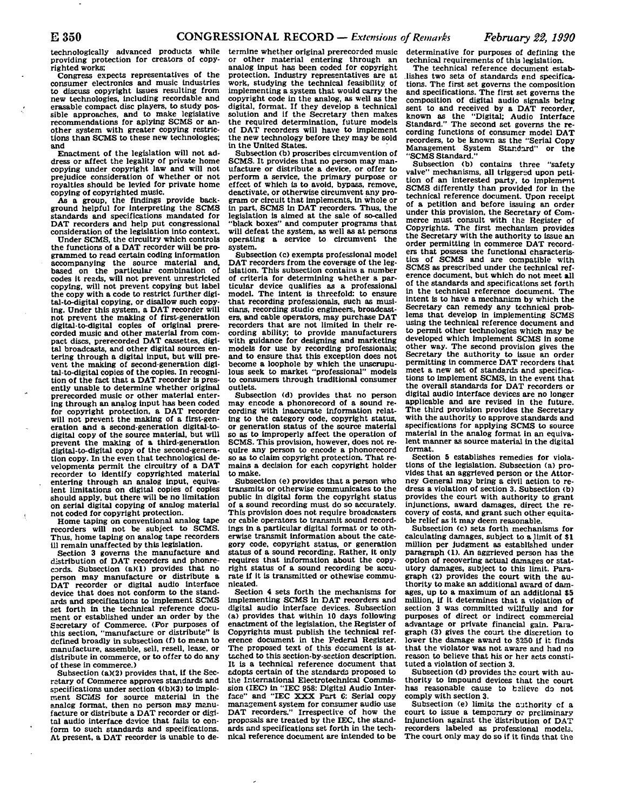technologically advanced products while providing protection for creators of copyrighted works;

Congress expects representatives of the consumer electronics and music industries to discuss copyright issues resulting from new technologies, including recordable and erasable compact disc players, to study possible approaches, and to make legislative recommendations for aplying SCMS or another system with greater copying restrictions than SCMS to these new technologies; and

Enactment of the legislation will not address or affect the legality of private home copying under copyright law and will not prejudice consideration of whether or not royalties should be levied for private home copying of copyrighted music.

As a group, the findings provide background helpful for interpreting the SCMS standards and specifications mandated for DAT recorders and help put congressional consideration of the legislation Into context.

Under SCMS, the circuitry which controls the functions of a DAT recorder will be programmed to read certain coding information accompanying the source material and, based on the particular combination of codes it reads, will not prevent unrestricted copying, will not prevent copying but label the copy with a code to restrict further digital-to-digital copying, or disallow such copying. Under this system, a DAT recorder will not prevent the making of first-generation digital-to-digital copies of original prere-<br>corded music and other material from compact discs, prerecorded DAT cassettes, digital broadcasts, and other digital sources entering through a digital input, but will prevent the making of second-generation digltal-to-digital copies of the copies. In recognition of the fact that a DAT recorder is presently unable to determine whether original prerecorded music or other material entering through an analog input has been coded for copyright protection, a DAT recorder will not prevent the making of a first-generation and a second-generation digital-todigital copy of the source material, but will prevent the making of a third-generation<br>digital-to-digital copy of the second-genera-<br>tion copy. In the even that technological de-<br>tion copy. In the even that technological developments permit the circuitry of a DAT recorder to identify copyrighted material entering through an analog input, equiva-<br>lent limitations on digital copies of copies lent limitations on digital copies of copies<br>should apply, but there will be no limitation<br>paterial digital copying of apple material on serial digital copying of analog material not coded for copyright protection.

Home taping on conventional analog tape recorders will not be subject to SCMS. Thus, home taping on analog tape recorders<br>iil remain unaffected by this legislation.

111 remain unaffected by this legislation. Section 3 governs the manufacture and distribution of DAT recorders and phonrecords. Subsection (a)(1) provides that no person may manufacture or distribute a DAT recorder or digital audio interface device that does not conform to the standards and specifications to implement SCMS set forth in the technical reference document or established under an order by the Secretary of Commerce. (For purposes of this section, "manufacture or distribute" is defined broadly in subsection (f) to mean to manufacture, assemble, sell, resell, lease, or distribute in commerce, or to offer to do any of these in commerce.)

Subsection (a)(2) provides that, if the Secretary of Commerce approves standards and specifications under section 4(b)(3) to implement SCMS for source material in the analog format, then no person may manufacture or distribute a DAT recorder or digital audio interface davice that fails to conform to such standards and specifications. At present, a DAT recorder is unable to determine whether original prerecorded music or other material entering through an analog input has been coded for copyright protection. Industry representatives are at work, studying the technical feasibility of implementing a system that would carry the copyright code in the analog, as well as the digital, format. If they develop a technical solution and if the Secretary then makes the required determination, future models of DAT recorders will have to implement the new technology before they may be sold in the United States.

Subsection (b) proscribes circumvention of SCMS. It provides that no person may manufacture or distribute a device, or offer to perform a service, the primary purpose or effect of which is to avoid, bypass, remove, deactivate, or otherwise circumvent any program or circuit that implements, in whole or in part, SCMS in DAT recorders. Thus, the legislation is aimed at the sale of so-called "black boxes" and computer programs that will defeat the system, as well as at persons<br>operating a service to circumvent the operating a service to circumvent system.

Subsection (c) exempts professional model DAT recorders from the coverage of the legislation. This subsection contains a number of criteria for determining whether a particular device qualifies as a professional model. The intent is threefold: to ensure that recording professionals, such as musicians, recording studio engineers, broadcasters, and cable operators, may purchase DAT recorders that are not limited in their recording ability; to provide manufacturers with guidance for designing and marketing models for use by recording professionals; and to ensure that this exception does not become a loophole by which the unscrupu-<br>lous seek to market "professional" models<br>to consumer to consumers through traditional consumer

outlets. Subsection (d) provides that no person may encode a phonorecord of a sound recording with inaccurate information relating to the category code, copyright status, so as to improperly affect the operation of so as to improperly affect the operation of<br>SCMS. This provision, however, does not re-<br>suite any person to encode a phonorecord quire any person to encode a phonorecord<br>so as to claim copyright protection. That re-<br>mains a decision for each convright holder mains a decision for each copyright holder

Subsection (e) provides that a person who Subsection (e) provides that a person who<br>transmits or otherwise communicates to the<br>nublic in digital form the convright status public in digital form the copyright status<br>of a sound recording must do so accurately. This provision does not require broadcasters or cable operators to transmit sound recordings in a particular digital format or to othings in a particular digital format or to oth-erwise transmit Information about the category code, copyright status, or generation status of a sound recording. Rather, it only requires that information about the copy-<br>right status of a sound recording be accuright status of a sound recording be accu-<br>rate if it is transmitted or othewise commu-<br>nigated nicated.

Section 4 sets forth the mechanisms for implementing SCMS in DAT recorders and digital audio interface devices. Subsection (a) provides that within 10 days following enactment of the legislation, the Register of Copyrights must publish the technical reference document in the Federal Register. The proposed text of this document is attached to this section-by-section description. It is a technical reference document that adopts certain of the standards proposed to the International Electrotechnical Commission (IEC) in "IEC 958: Digital Audio Interface" and "IEC XXX Part 6: Serial copy manasement system for consumer audio use DAT recorders." Irrespective of how the proposals are treated by the EEC, the standards and specifications set forth in the technical reference document are intended to be

determinative for purposes of defining the technical requirements of this legislation.

The technical reference document establishes two sets of standards and specifications. The first set governs the composition and specifications. The first set governs the composition of digital audio signals being sent to and received by a DAT recorder, known as the "Digital; Audio Interface Standard." The second set governs the recording functions of consumer model DAT recorders, to be known as the "Serial Copy Management System Standard" or the "SCMS Standard."

Subsection (b) contains three "safety valve" mechanisms, all triggered upon petition of an interested party, to Implement SCMS differently than provided for in the technical reference document. Upon receipt of a petition and before issuing an order under this provision, the Secretary of Com-merce must consult with the Register of Copyrights. The first mechanism provides the Secretary with the authority to issue an order permitting in commerce DAT recorders that possess the functional characteristics of SCMS and are compatible with SCMS as prescribed under the technical reference document, but which do not meet all of the standards and specifications set forth in the technical reference document. The intent is to have a mechanism by which the Secretary can remedy any technical problems that develop in implementing SCMS using the technical reference document and to permit other technologies which may be developed which implement SCMS in some other way. The second provision gives the Secretary the authority to issue an order permitting In commerce DAT recorders that meet a new set of standards and specifications to implement SCMS, in the event that the overall standards for DAT recorders or digital audio Interface devices are no longer applicable and are revised in the future. The third provision provides the Secretary with the authority to approve standards and specifications for applying SCMS to source material in the analog format in an equivalent manner as source material in the digital format.

Section 5 establishes remedies for violations of the legislation. Subsection (a) provides that an aggrieved person or the Attorney General may bring a civil action, to redress a violation of section 3. Subsection (b) provides the court with authority to grant injunctions, award damages, direct the recovery of costs, and grant such other equitable relief as it may deem reasonable.

Subsection (c) sets forth mechanisms for calculating damages, subject to a limit of \$1 million per judgment as established under paragraph (1). An aggrieved person has the option of recovering actual damages or statutory damages, subject to this limit. Paragraph (2) provides the court with the authority to make an additional award of damages, up to a maximum of an additional \$5 million, if it determines that a violation of section 3 was committed willfully and for purposes of direct or indirect commercial advantage or private financial gain. Paragraph (3) gives the court the discretion to lower the damage award to \$250 if it finds that the violator was not aware and had no reason to believe that his or her acts constituted a violation of section 3.

Subsection (d) provides the court with authority to impound devices that the court has reasonable cause to bslieve do not comply with section 3.

Subsection (e) limits the authority cf a court to issue a temporary or preliminary injunction against the distribution of DAT recorders labeled as professional models. The court only may do so if it finds that the